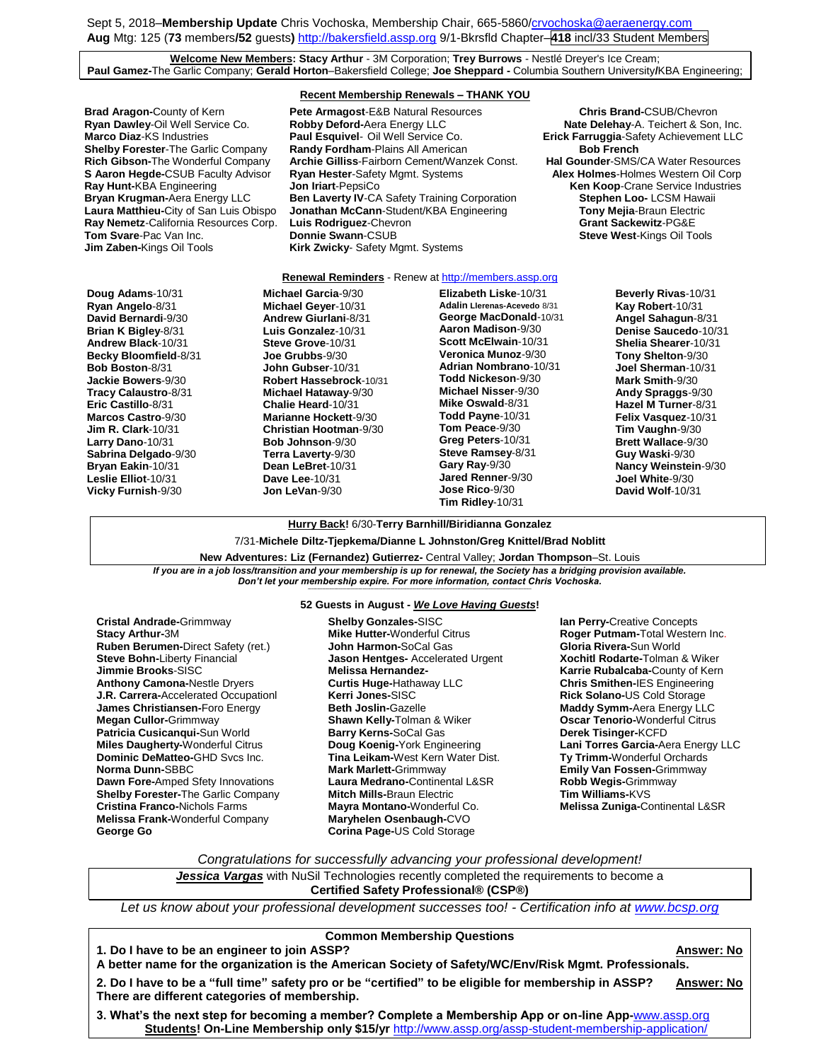Sept 5, 2018–**Membership Update** Chris Vochoska, Membership Chair, 665-586[0/crvochoska@aeraenergy.com](mailto:crvochoska@aeraenergy.com) **Aug** Mtg: 125 (**73** members**/52** guests**)** [http://bakersfield.assp.org](http://bakersfield.assp.org/) 9/1-Bkrsfld Chapter–**418** incl/33 Student Members

**Welcome New Members: Stacy Arthur** - 3M Corporation; **Trey Burrows** - Nestlé Dreyer's Ice Cream; **Paul Gamez-**The Garlic Company; **Gerald Horton**–Bakersfield College; **Joe Sheppard -** Columbia Southern University**/**KBA Engineering;

**Shelby Forester-The Garlic Company** 

#### **Recent Membership Renewals – THANK YOU**

**Brad Aragon-**County of Kern **Pete Armagost-E&B Natural Resources Chris Brand-CSUB/Chevron**<br> **Ryan Dawley-**Oil Well Service Co. **Robby Deford-**Aera Energy LLC **Netelly Arate Delehay-A**. Teichert & Son. **Marco Diaz**-KS Industries **Paul Esquivel**- Oil Well Service Co. **Erick Farruggia**-Safety Achievement LLC<br>**Shelby Forester**-The Garlic Company Randy Fordham-Plains All American **Bob French** Bob French **Rich Gibson-**The Wonderful Company **Archie Gilliss**-Fairborn Cement/Wanzek Const. **Hal Gounder**-SMS/CA Water Resources **S Aaron Hegde-**CSUB Faculty Advisor **Ryan Hester**-Safety Mgmt. Systems **Alex Holmes**-Holmes Western Oil Corp **Ray Hunt-**KBA Engineering **Jon Iriart-PepsiCo Communisty Communisty Communisty Communisty**<br> **Bryan Krugman-**Aera Energy LLC **Ben Laverty IV-CA Safety Training Corporation <b>Stephen Loo-** LCSM Hawaii **Ben Laverty IV-CA Safety Training Corporation Laura Matthieu-**City of San Luis Obispo **Jonathan McCann**-Student/KBA Engineering **Tony Mejia**-Braun Electric **Ray Nemetz-California Resources Corp. Luis Rodriguez-Chevron <b>Grant Sackewitz-PG&E Tom Svare-Pac Van Inc. Donnie Swann-CSUB Systems Steve West-Kings Oil Tools Jim Zaben-Kings Oil Tools Connie Swann-CSUB Steve West-Kings Oil Tools Steve West-Kings Oil Tools Kirk Zwicky-** Safety Mgmt. Systems

**Nate Delehay-A. Teichert & Son, Inc.** 

#### **Renewal Reminders** - Renew a[t http://members.assp.org](http://members.assp.org/)

**Doug Adams**-10/31 **Ryan Angelo**-8/31 **David Bernardi**-9/30 **Brian K Bigley**-8/31 **Andrew Black**-10/31 **Becky Bloomfield**-8/31 **Bob Boston**-8/31 **Jackie Bowers**-9/30 **Tracy Calaustro**-8/31 **Eric Castillo**-8/31 **Marcos Castro**-9/30 **Jim R. Clark**-10/31 **Larry Dano**-10/31 **Sabrina Delgado**-9/30 **Bryan Eakin**-10/31 **Leslie Elliot**-10/31 **Vicky Furnish**-9/30

**Michael Garcia**-9/30 **Michael Geyer**-10/31 **Andrew Giurlani**-8/31 **Luis Gonzalez**-10/31 **Steve Grove**-10/31 **Joe Grubbs**-9/30 **John Gubser**-10/31 **Robert Hassebrock**-10/31 **Michael Hataway**-9/30 **Chalie Heard**-10/31 **Marianne Hockett**-9/30 **Christian Hootman**-9/30 **Bob Johnson**-9/30 **Terra Laverty**-9/30 **Dean LeBret**-10/31 **Dave Lee**-10/31 **Jon LeVan**-9/30

**Elizabeth Liske**-10/31 **Adalin Llerenas-Acevedo** 8/31 **George MacDonald**-10/31 **Aaron Madison**-9/30 **Scott McElwain**-10/31 **Veronica Munoz**-9/30 **Adrian Nombrano**-10/31 **Todd Nickeson**-9/30 **Michael Nisser**-9/30 **Mike Oswald**-8/31 **Todd Payne**-10/31 **Tom Peace**-9/30 **Greg Peters**-10/31 **Steve Ramsey**-8/31 **Gary Ray**-9/30 **Jared Renner**-9/30 **Jose Rico**-9/30 **Tim Ridley**-10/31

**Beverly Rivas**-10/31 **Kay Robert**-10/31 **Angel Sahagun**-8/31 **Denise Saucedo**-10/31 **Shelia Shearer**-10/31 **Tony Shelton**-9/30 **Joel Sherman**-10/31 **Mark Smith**-9/30 **Andy Spraggs**-9/30 **Hazel M Turner**-8/31 **Felix Vasquez**-10/31 **Tim Vaughn**-9/30 **Brett Wallace**-9/30 **Guy Waski**-9/30 **Nancy Weinstein**-9/30 **Joel White**-9/30 **David Wolf**-10/31

## **Hurry Back!** 6/30-**Terry Barnhill/Biridianna Gonzalez**

7/31-**Michele Diltz-Tjepkema/Dianne L Johnston/Greg Knittel/Brad Noblitt**

**New Adventures: Liz (Fernandez) Gutierrez-** Central Valley; **Jordan Thompson**–St. Louis *If you are in a job loss/transition and your membership is up for renewal, the Society has a bridging provision available.*  Don't let your membership expire. For more information, contact Chris Vochoska.

**Cristal Andrade-**Grimmway **Stacy Arthur-**3M **Ruben Berumen-**Direct Safety (ret.) **Steve Bohn-**Liberty Financial **Jimmie Brooks**-SISC **Anthony Camona-**Nestle Dryers **J.R. Carrera-**Accelerated Occupationl **James Christiansen-**Foro Energy **Megan Cullor-**Grimmway **Patricia Cusicanqui-Sun World Miles Daugherty-**Wonderful Citrus **Dominic DeMatteo-**GHD Svcs Inc. **Norma Dunn-**SBBC **Dawn Fore-**Amped Sfety Innovations **Shelby Forester-**The Garlic Company **Cristina Franco-**Nichols Farms **Melissa Frank-**Wonderful Company **George Go**

#### **52 Guests in August -** *We Love Having Guests***!**

**Shelby Gonzales-**SISC **Mike Hutter-**Wonderful Citrus **John Harmon-**SoCal Gas **Jason Hentges-** Accelerated Urgent **Melissa Hernandez-Curtis Huge-**Hathaway LLC **Kerri Jones-**SISC **Beth Joslin-**Gazelle **Shawn Kelly-**Tolman & Wiker **Barry Kerns-**SoCal Gas **Doug Koenig-**York Engineering **Tina Leikam-**West Kern Water Dist. **Mark Marlett-**Grimmway **Laura Medrano-**Continental L&SR **Mitch Mills-**Braun Electric **Mayra Montano-**Wonderful Co. **Maryhelen Osenbaugh-**CVO **Corina Page-**US Cold Storage

**Ian Perry-**Creative Concepts **Roger Putmam-**Total Western Inc. **Gloria Rivera-**Sun World **Xochitl Rodarte-**Tolman & Wiker **Karrie Rubalcaba-**County of Kern **Chris Smithen-**IES Engineering **Rick Solano-**US Cold Storage **Maddy Symm-**Aera Energy LLC **Oscar Tenorio-**Wonderful Citrus **Derek Tisinger-**KCFD **Lani Torres Garcia-**Aera Energy LLC **Ty Trimm-**Wonderful Orchards **Emily Van Fossen-**Grimmway **Robb Wegis-**Grimmway **Tim Williams-**KVS **Melissa Zuniga-**Continental L&SR

*Congratulations for successfully advancing your professional development!*

*Jessica Vargas* with NuSil Technologies recently completed the requirements to become a **Certified Safety Professional® (CSP®)**

*Let us know about your professional development successes too! - Certification info at [www.bcsp.org](http://www.bcsp.org/)*

# **Common Membership Questions 1. Do I have to be an engineer to join ASSP? Answer: No A better name for the organization is the American Society of Safety/WC/Env/Risk Mgmt. Professionals. 2. Do I have to be a "full time" safety pro or be "certified" to be eligible for membership in ASSP? Answer: No There are different categories of membership. 3. What's the next step for becoming a member? Complete a Membership App or on-line App-**[www.assp.org](http://www.assp.org/) **Students! On-Line Membership only \$15/yr** <http://www.assp.org/assp-student-membership-application/>